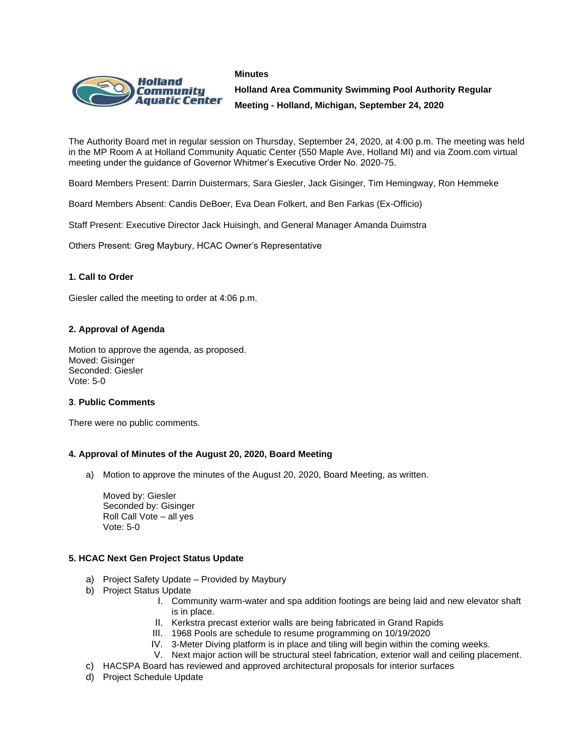#### **Minutes**



**Holland Area Community Swimming Pool Authority Regular Meeting - Holland, Michigan, September 24, 2020**

The Authority Board met in regular session on Thursday, September 24, 2020, at 4:00 p.m. The meeting was held in the MP Room A at Holland Community Aquatic Center (550 Maple Ave, Holland MI) and via Zoom.com virtual meeting under the guidance of Governor Whitmer's Executive Order No. 2020-75.

Board Members Present: Darrin Duistermars, Sara Giesler, Jack Gisinger, Tim Hemingway, Ron Hemmeke

Board Members Absent: Candis DeBoer, Eva Dean Folkert, and Ben Farkas (Ex-Officio)

Staff Present: Executive Director Jack Huisingh, and General Manager Amanda Duimstra

Others Present: Greg Maybury, HCAC Owner's Representative

## **1. Call to Order**

Giesler called the meeting to order at 4:06 p.m.

## **2. Approval of Agenda**

Motion to approve the agenda, as proposed. Moved: Gisinger Seconded: Giesler Vote: 5-0

#### **3**. **Public Comments**

There were no public comments.

#### **4. Approval of Minutes of the August 20, 2020, Board Meeting**

a) Motion to approve the minutes of the August 20, 2020, Board Meeting, as written.

Moved by: Giesler Seconded by: Gisinger Roll Call Vote – all yes Vote: 5-0

# **5. HCAC Next Gen Project Status Update**

- a) Project Safety Update Provided by Maybury
- b) Project Status Update
	- I. Community warm-water and spa addition footings are being laid and new elevator shaft is in place.
	- II. Kerkstra precast exterior walls are being fabricated in Grand Rapids
	- III. 1968 Pools are schedule to resume programming on 10/19/2020
	- IV. 3-Meter Diving platform is in place and tiling will begin within the coming weeks.
	- V. Next major action will be structural steel fabrication, exterior wall and ceiling placement.
- c) HACSPA Board has reviewed and approved architectural proposals for interior surfaces
- d) Project Schedule Update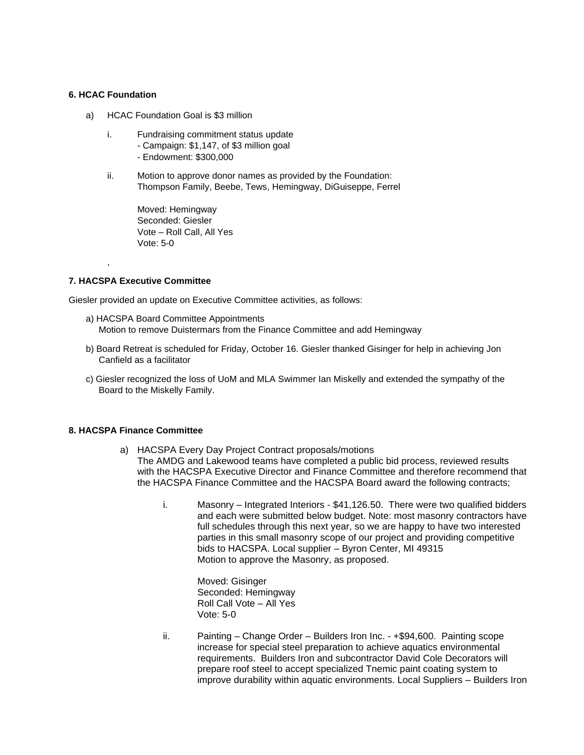# **6. HCAC Foundation**

- a) HCAC Foundation Goal is \$3 million
	- i. Fundraising commitment status update
		- Campaign: \$1,147, of \$3 million goal
		- Endowment: \$300,000
	- ii. Motion to approve donor names as provided by the Foundation: Thompson Family, Beebe, Tews, Hemingway, DiGuiseppe, Ferrel

Moved: Hemingway Seconded: Giesler Vote – Roll Call, All Yes Vote: 5-0

# **7. HACSPA Executive Committee**

,

Giesler provided an update on Executive Committee activities, as follows:

- a) HACSPA Board Committee Appointments Motion to remove Duistermars from the Finance Committee and add Hemingway
- b) Board Retreat is scheduled for Friday, October 16. Giesler thanked Gisinger for help in achieving Jon Canfield as a facilitator
- c) Giesler recognized the loss of UoM and MLA Swimmer Ian Miskelly and extended the sympathy of the Board to the Miskelly Family.

# **8. HACSPA Finance Committee**

- a) HACSPA Every Day Project Contract proposals/motions The AMDG and Lakewood teams have completed a public bid process, reviewed results with the HACSPA Executive Director and Finance Committee and therefore recommend that the HACSPA Finance Committee and the HACSPA Board award the following contracts;
	- i. Masonry Integrated Interiors \$41,126.50. There were two qualified bidders and each were submitted below budget. Note: most masonry contractors have full schedules through this next year, so we are happy to have two interested parties in this small masonry scope of our project and providing competitive bids to HACSPA. Local supplier – Byron Center, MI 49315 Motion to approve the Masonry, as proposed.

Moved: Gisinger Seconded: Hemingway Roll Call Vote – All Yes Vote: 5-0

ii. Painting – Change Order – Builders Iron Inc. - +\$94,600. Painting scope increase for special steel preparation to achieve aquatics environmental requirements. Builders Iron and subcontractor David Cole Decorators will prepare roof steel to accept specialized Tnemic paint coating system to improve durability within aquatic environments. Local Suppliers – Builders Iron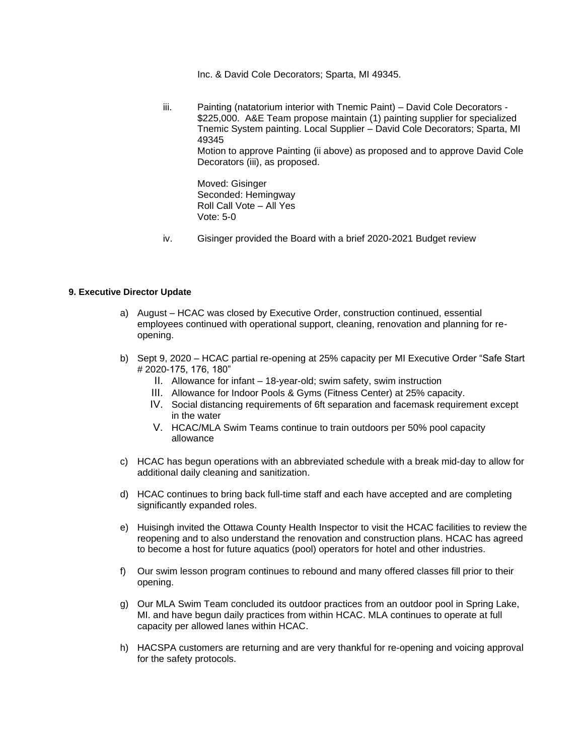Inc. & David Cole Decorators; Sparta, MI 49345.

iii. Painting (natatorium interior with Tnemic Paint) – David Cole Decorators - \$225,000. A&E Team propose maintain (1) painting supplier for specialized Tnemic System painting. Local Supplier – David Cole Decorators; Sparta, MI 49345 Motion to approve Painting (ii above) as proposed and to approve David Cole Decorators (iii), as proposed.

Moved: Gisinger Seconded: Hemingway Roll Call Vote – All Yes Vote: 5-0

iv. Gisinger provided the Board with a brief 2020-2021 Budget review

## **9. Executive Director Update**

- a) August HCAC was closed by Executive Order, construction continued, essential employees continued with operational support, cleaning, renovation and planning for reopening.
- b) Sept 9, 2020 HCAC partial re-opening at 25% capacity per MI Executive Order "Safe Start # 2020-175, 176, 180"
	- II. Allowance for infant 18-year-old; swim safety, swim instruction
	- III. Allowance for Indoor Pools & Gyms (Fitness Center) at 25% capacity.
	- IV. Social distancing requirements of 6ft separation and facemask requirement except in the water
	- V. HCAC/MLA Swim Teams continue to train outdoors per 50% pool capacity allowance
- c) HCAC has begun operations with an abbreviated schedule with a break mid-day to allow for additional daily cleaning and sanitization.
- d) HCAC continues to bring back full-time staff and each have accepted and are completing significantly expanded roles.
- e) Huisingh invited the Ottawa County Health Inspector to visit the HCAC facilities to review the reopening and to also understand the renovation and construction plans. HCAC has agreed to become a host for future aquatics (pool) operators for hotel and other industries.
- f) Our swim lesson program continues to rebound and many offered classes fill prior to their opening.
- g) Our MLA Swim Team concluded its outdoor practices from an outdoor pool in Spring Lake, MI. and have begun daily practices from within HCAC. MLA continues to operate at full capacity per allowed lanes within HCAC.
- h) HACSPA customers are returning and are very thankful for re-opening and voicing approval for the safety protocols.